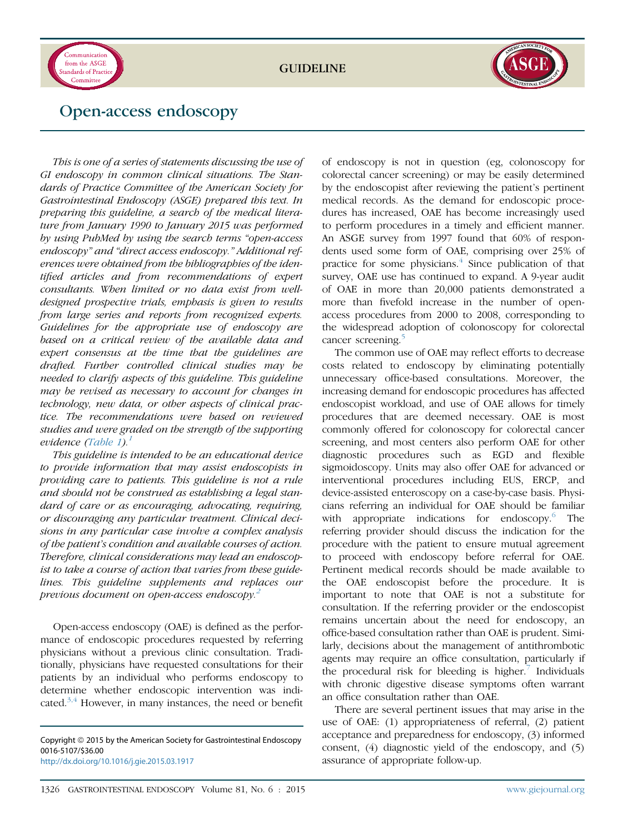



# Open-access endoscopy

This is one of a series of statements discussing the use of GI endoscopy in common clinical situations. The Standards of Practice Committee of the American Society for Gastrointestinal Endoscopy (ASGE) prepared this text. In preparing this guideline, a search of the medical literature from January 1990 to January 2015 was performed by using PubMed by using the search terms "open-access endoscopy" and "direct access endoscopy." Additional references were obtained from the bibliographies of the identified articles and from recommendations of expert consultants. When limited or no data exist from welldesigned prospective trials, emphasis is given to results from large series and reports from recognized experts. Guidelines for the appropriate use of endoscopy are based on a critical review of the available data and expert consensus at the time that the guidelines are drafted. Further controlled clinical studies may be needed to clarify aspects of this guideline. This guideline may be revised as necessary to account for changes in technology, new data, or other aspects of clinical practice. The recommendations were based on reviewed studies and were graded on the strength of the supporting evidence ([Table 1\)](#page-1-0).<sup>[1](#page-2-0)</sup>

This guideline is intended to be an educational device to provide information that may assist endoscopists in providing care to patients. This guideline is not a rule and should not be construed as establishing a legal standard of care or as encouraging, advocating, requiring, or discouraging any particular treatment. Clinical decisions in any particular case involve a complex analysis of the patient's condition and available courses of action. Therefore, clinical considerations may lead an endoscopist to take a course of action that varies from these guidelines. This guideline supplements and replaces our previous document on open-access endoscopy.<sup>[2](#page-2-0)</sup>

Open-access endoscopy (OAE) is defined as the performance of endoscopic procedures requested by referring physicians without a previous clinic consultation. Traditionally, physicians have requested consultations for their patients by an individual who performs endoscopy to determine whether endoscopic intervention was indi-cated.<sup>[3,4](#page-2-0)</sup> However, in many instances, the need or benefit

Copyright © 2015 by the American Society for Gastrointestinal Endoscopy 0016-5107/\$36.00 <http://dx.doi.org/10.1016/j.gie.2015.03.1917>

of endoscopy is not in question (eg, colonoscopy for colorectal cancer screening) or may be easily determined by the endoscopist after reviewing the patient's pertinent medical records. As the demand for endoscopic procedures has increased, OAE has become increasingly used to perform procedures in a timely and efficient manner. An ASGE survey from 1997 found that 60% of respondents used some form of OAE, comprising over 25% of practice for some physicians.[4](#page-2-0) Since publication of that survey, OAE use has continued to expand. A 9-year audit of OAE in more than 20,000 patients demonstrated a more than fivefold increase in the number of openaccess procedures from 2000 to 2008, corresponding to the widespread adoption of colonoscopy for colorectal cancer screening.<sup>[5](#page-2-0)</sup>

The common use of OAE may reflect efforts to decrease costs related to endoscopy by eliminating potentially unnecessary office-based consultations. Moreover, the increasing demand for endoscopic procedures has affected endoscopist workload, and use of OAE allows for timely procedures that are deemed necessary. OAE is most commonly offered for colonoscopy for colorectal cancer screening, and most centers also perform OAE for other diagnostic procedures such as EGD and flexible sigmoidoscopy. Units may also offer OAE for advanced or interventional procedures including EUS, ERCP, and device-assisted enteroscopy on a case-by-case basis. Physicians referring an individual for OAE should be familiar with appropriate indications for endoscopy.<sup>[6](#page-3-0)</sup> The referring provider should discuss the indication for the procedure with the patient to ensure mutual agreement to proceed with endoscopy before referral for OAE. Pertinent medical records should be made available to the OAE endoscopist before the procedure. It is important to note that OAE is not a substitute for consultation. If the referring provider or the endoscopist remains uncertain about the need for endoscopy, an office-based consultation rather than OAE is prudent. Similarly, decisions about the management of antithrombotic agents may require an office consultation, particularly if the procedural risk for bleeding is higher.<sup>[7](#page-3-0)</sup> Individuals with chronic digestive disease symptoms often warrant an office consultation rather than OAE.

There are several pertinent issues that may arise in the use of OAE: (1) appropriateness of referral, (2) patient acceptance and preparedness for endoscopy, (3) informed consent, (4) diagnostic yield of the endoscopy, and (5) assurance of appropriate follow-up.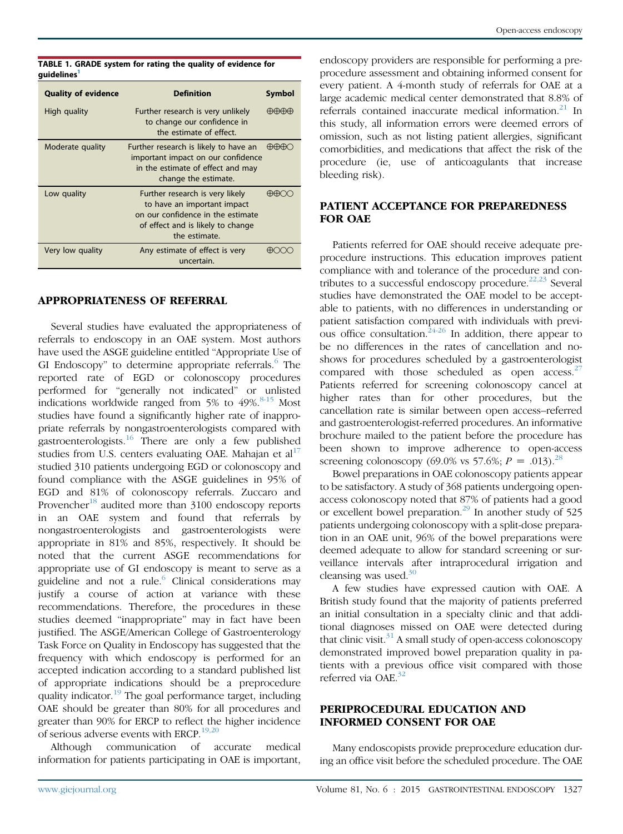<span id="page-1-0"></span>TABLE 1. GRADE system for rating the quality of evidence for auidelines<sup>[1](#page-2-0)</sup>

| <b>Quality of evidence</b> | <b>Definition</b>                                                                                                                                         | Symbol              |
|----------------------------|-----------------------------------------------------------------------------------------------------------------------------------------------------------|---------------------|
| High quality               | Further research is very unlikely<br>to change our confidence in<br>the estimate of effect.                                                               | <del>(DCDCDCD</del> |
| Moderate quality           | Further research is likely to have an<br>important impact on our confidence<br>in the estimate of effect and may<br>change the estimate.                  | ക്കക്കറ             |
| Low quality                | Further research is very likely<br>to have an important impact<br>on our confidence in the estimate<br>of effect and is likely to change<br>the estimate. | <b>AAAC</b>         |
| Very low quality           | Any estimate of effect is very<br>uncertain.                                                                                                              |                     |

## APPROPRIATENESS OF REFERRAL

Several studies have evaluated the appropriateness of referrals to endoscopy in an OAE system. Most authors have used the ASGE guideline entitled "Appropriate Use of GI Endoscopy" to determine appropriate referrals.<sup>[6](#page-3-0)</sup> The reported rate of EGD or colonoscopy procedures performed for "generally not indicated" or unlisted indications worldwide ranged from 5% to  $49\%$ .<sup>[8-15](#page-3-0)</sup> Most studies have found a significantly higher rate of inappropriate referrals by nongastroenterologists compared with gastroenterologists.[16](#page-3-0) There are only a few published studies from U.S. centers evaluating OAE. Mahajan et  $al<sup>17</sup>$  $al<sup>17</sup>$  $al<sup>17</sup>$ studied 310 patients undergoing EGD or colonoscopy and found compliance with the ASGE guidelines in 95% of EGD and 81% of colonoscopy referrals. Zuccaro and Provencher<sup>[18](#page-3-0)</sup> audited more than  $3100$  endoscopy reports in an OAE system and found that referrals by nongastroenterologists and gastroenterologists were appropriate in 81% and 85%, respectively. It should be noted that the current ASGE recommendations for appropriate use of GI endoscopy is meant to serve as a guideline and not a rule. $6$  Clinical considerations may justify a course of action at variance with these recommendations. Therefore, the procedures in these studies deemed "inappropriate" may in fact have been justified. The ASGE/American College of Gastroenterology Task Force on Quality in Endoscopy has suggested that the frequency with which endoscopy is performed for an accepted indication according to a standard published list of appropriate indications should be a preprocedure quality indicator.<sup>[19](#page-3-0)</sup> The goal performance target, including OAE should be greater than 80% for all procedures and greater than 90% for ERCP to reflect the higher incidence of serious adverse events with ERCP.<sup>[19,20](#page-3-0)</sup>

Although communication of accurate medical information for patients participating in OAE is important, endoscopy providers are responsible for performing a preprocedure assessment and obtaining informed consent for every patient. A 4-month study of referrals for OAE at a large academic medical center demonstrated that 8.8% of referrals contained inaccurate medical information.<sup>[21](#page-3-0)</sup> In this study, all information errors were deemed errors of omission, such as not listing patient allergies, significant comorbidities, and medications that affect the risk of the procedure (ie, use of anticoagulants that increase bleeding risk).

## PATIENT ACCEPTANCE FOR PREPAREDNESS FOR OAE

Patients referred for OAE should receive adequate preprocedure instructions. This education improves patient compliance with and tolerance of the procedure and con-tributes to a successful endoscopy procedure.<sup>[22,23](#page-3-0)</sup> Several studies have demonstrated the OAE model to be acceptable to patients, with no differences in understanding or patient satisfaction compared with individuals with previ-ous office consultation.<sup>[24-26](#page-3-0)</sup> In addition, there appear to be no differences in the rates of cancellation and noshows for procedures scheduled by a gastroenterologist compared with those scheduled as open access. $27$ Patients referred for screening colonoscopy cancel at higher rates than for other procedures, but the cancellation rate is similar between open access–referred and gastroenterologist-referred procedures. An informative brochure mailed to the patient before the procedure has been shown to improve adherence to open-access screening colonoscopy (69.0% vs 57.6%;  $P = .013$ ).<sup>[28](#page-3-0)</sup>

Bowel preparations in OAE colonoscopy patients appear to be satisfactory. A study of 368 patients undergoing openaccess colonoscopy noted that 87% of patients had a good or excellent bowel preparation.<sup>[29](#page-3-0)</sup> In another study of 525 patients undergoing colonoscopy with a split-dose preparation in an OAE unit, 96% of the bowel preparations were deemed adequate to allow for standard screening or surveillance intervals after intraprocedural irrigation and cleansing was used. $30$ 

A few studies have expressed caution with OAE. A British study found that the majority of patients preferred an initial consultation in a specialty clinic and that additional diagnoses missed on OAE were detected during that clinic visit. $31$  A small study of open-access colonoscopy demonstrated improved bowel preparation quality in patients with a previous office visit compared with those referred via OAE.<sup>[32](#page-3-0)</sup>

## PERIPROCEDURAL EDUCATION AND INFORMED CONSENT FOR OAE

Many endoscopists provide preprocedure education during an office visit before the scheduled procedure. The OAE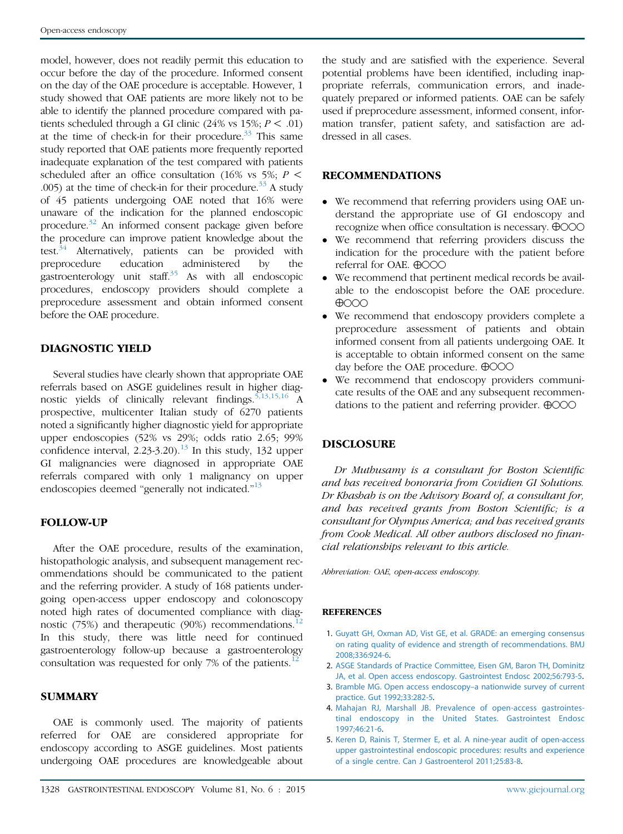<span id="page-2-0"></span>model, however, does not readily permit this education to occur before the day of the procedure. Informed consent on the day of the OAE procedure is acceptable. However, 1 study showed that OAE patients are more likely not to be able to identify the planned procedure compared with patients scheduled through a GI clinic  $(24\% \text{ vs } 15\%; P < .01)$ at the time of check-in for their procedure.<sup>33</sup> This same study reported that OAE patients more frequently reported inadequate explanation of the test compared with patients scheduled after an office consultation (16% vs 5%;  $P \leq$ .005) at the time of check-in for their procedure.<sup>33</sup> A study of 45 patients undergoing OAE noted that 16% were unaware of the indication for the planned endoscopic procedure[.32](#page-3-0) An informed consent package given before the procedure can improve patient knowledge about the test.<sup>34</sup> Alternatively, patients can be provided with preprocedure education administered by the gastroenterology unit staff. $35$  As with all endoscopic procedures, endoscopy providers should complete a preprocedure assessment and obtain informed consent before the OAE procedure.

## DIAGNOSTIC YIELD

Several studies have clearly shown that appropriate OAE referrals based on ASGE guidelines result in higher diagnostic yields of clinically relevant findings.5,13,15,16 A prospective, multicenter Italian study of 6270 patients noted a significantly higher diagnostic yield for appropriate upper endoscopies (52% vs 29%; odds ratio 2.65; 99% confidence interval,  $2.23-3.20$ .<sup>[13](#page-3-0)</sup> In this study, 132 upper GI malignancies were diagnosed in appropriate OAE referrals compared with only 1 malignancy on upper endoscopies deemed "generally not indicated."<sup>[13](#page-3-0)</sup>

### FOLLOW-UP

After the OAE procedure, results of the examination, histopathologic analysis, and subsequent management recommendations should be communicated to the patient and the referring provider. A study of 168 patients undergoing open-access upper endoscopy and colonoscopy noted high rates of documented compliance with diagnostic  $(75%)$  and therapeutic  $(90%)$  recommendations.<sup>1</sup> In this study, there was little need for continued gastroenterology follow-up because a gastroenterology consultation was requested for only 7% of the patients.<sup>1</sup>

#### **SUMMARY**

OAE is commonly used. The majority of patients referred for OAE are considered appropriate for endoscopy according to ASGE guidelines. Most patients undergoing OAE procedures are knowledgeable about the study and are satisfied with the experience. Several potential problems have been identified, including inappropriate referrals, communication errors, and inadequately prepared or informed patients. OAE can be safely used if preprocedure assessment, informed consent, information transfer, patient safety, and satisfaction are addressed in all cases.

## RECOMMENDATIONS

- We recommend that referring providers using OAE understand the appropriate use of GI endoscopy and recognize when office consultation is necessary.  $\bigoplus$ OOO
- We recommend that referring providers discuss the indication for the procedure with the patient before referral for OAE.  $\bigoplus$ OOO
- We recommend that pertinent medical records be available to the endoscopist before the OAE procedure.  $\bigoplus$ OOO
- We recommend that endoscopy providers complete a preprocedure assessment of patients and obtain informed consent from all patients undergoing OAE. It is acceptable to obtain informed consent on the same day before the OAE procedure.  $\bigoplus$ OOO
- We recommend that endoscopy providers communicate results of the OAE and any subsequent recommendations to the patient and referring provider.  $\bigoplus$ OOO

### DISCLOSURE

Dr Muthusamy is a consultant for Boston Scientific and has received honoraria from Covidien GI Solutions. Dr Khashab is on the Advisory Board of, a consultant for, and has received grants from Boston Scientific; is a consultant for Olympus America; and has received grants from Cook Medical. All other authors disclosed no financial relationships relevant to this article.

Abbreviation: OAE, open-access endoscopy.

#### **REFERENCES**

- 1. [Guyatt GH, Oxman AD, Vist GE, et al. GRADE: an emerging consensus](http://refhub.elsevier.com/S0016-5107(15)02140-9/sref1) [on rating quality of evidence and strength of recommendations. BMJ](http://refhub.elsevier.com/S0016-5107(15)02140-9/sref1) [2008;336:924-6](http://refhub.elsevier.com/S0016-5107(15)02140-9/sref1).
- 2. [ASGE Standards of Practice Committee, Eisen GM, Baron TH, Dominitz](http://refhub.elsevier.com/S0016-5107(15)02140-9/sref2) [JA, et al. Open access endoscopy. Gastrointest Endosc 2002;56:793-5.](http://refhub.elsevier.com/S0016-5107(15)02140-9/sref2)
- 3. [Bramble MG. Open access endoscopy](http://refhub.elsevier.com/S0016-5107(15)02140-9/sref3)–a nationwide survey of current [practice. Gut 1992;33:282-5](http://refhub.elsevier.com/S0016-5107(15)02140-9/sref3).
- 4. [Mahajan RJ, Marshall JB. Prevalence of open-access gastrointes](http://refhub.elsevier.com/S0016-5107(15)02140-9/sref4)[tinal endoscopy in the United States. Gastrointest Endosc](http://refhub.elsevier.com/S0016-5107(15)02140-9/sref4) [1997;46:21-6.](http://refhub.elsevier.com/S0016-5107(15)02140-9/sref4)
- 5. [Keren D, Rainis T, Stermer E, et al. A nine-year audit of open-access](http://refhub.elsevier.com/S0016-5107(15)02140-9/sref5) [upper gastrointestinal endoscopic procedures: results and experience](http://refhub.elsevier.com/S0016-5107(15)02140-9/sref5) [of a single centre. Can J Gastroenterol 2011;25:83-8](http://refhub.elsevier.com/S0016-5107(15)02140-9/sref5).